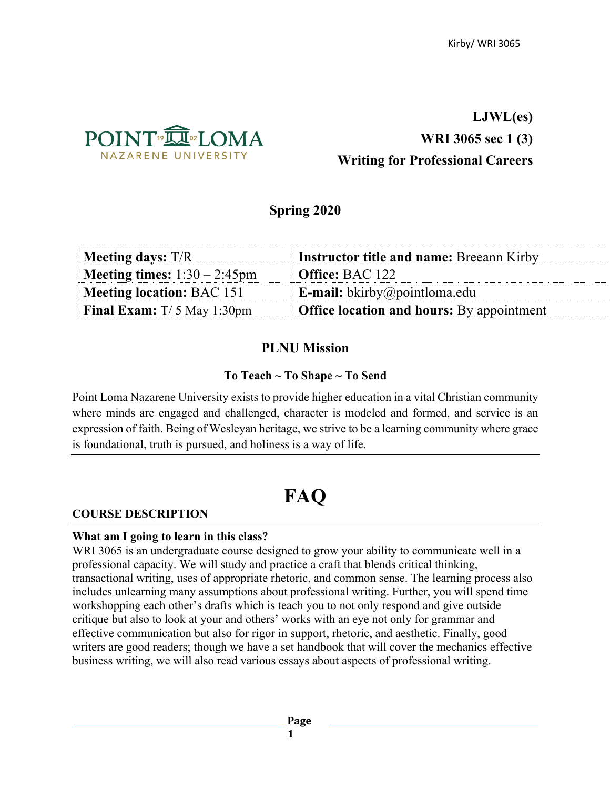

## **LJWL(es) WRI 3065 sec 1 (3) Writing for Professional Careers**

## **Spring 2020**

| Meeting days: $T/R$                 | <b>Instructor title and name: Breeann Kirby</b>  |
|-------------------------------------|--------------------------------------------------|
| Meeting times: $1:30 - 2:45$ pm     | <b>Office:</b> BAC 122                           |
| Meeting location: BAC 151           | <b>E-mail:</b> bkirby@pointloma.edu              |
| <b>Final Exam:</b> $T/5$ May 1:30pm | <b>Office location and hours:</b> By appointment |

## **PLNU Mission**

#### **To Teach ~ To Shape ~ To Send**

Point Loma Nazarene University exists to provide higher education in a vital Christian community where minds are engaged and challenged, character is modeled and formed, and service is an expression of faith. Being of Wesleyan heritage, we strive to be a learning community where grace is foundational, truth is pursued, and holiness is a way of life.

# **FAQ**

#### **COURSE DESCRIPTION**

#### **What am I going to learn in this class?**

WRI 3065 is an undergraduate course designed to grow your ability to communicate well in a professional capacity. We will study and practice a craft that blends critical thinking, transactional writing, uses of appropriate rhetoric, and common sense. The learning process also includes unlearning many assumptions about professional writing. Further, you will spend time workshopping each other's drafts which is teach you to not only respond and give outside critique but also to look at your and others' works with an eye not only for grammar and effective communication but also for rigor in support, rhetoric, and aesthetic. Finally, good writers are good readers; though we have a set handbook that will cover the mechanics effective business writing, we will also read various essays about aspects of professional writing.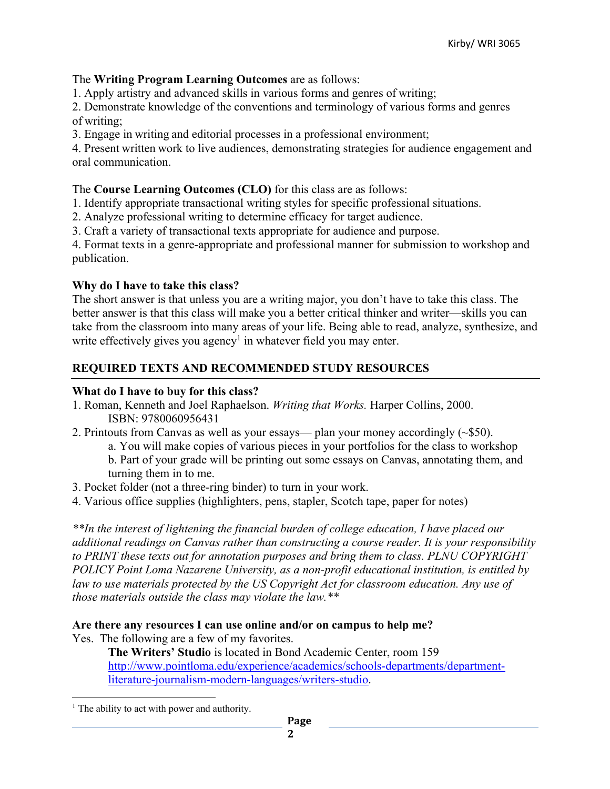#### The **Writing Program Learning Outcomes** are as follows:

1. Apply artistry and advanced skills in various forms and genres of writing;

2. Demonstrate knowledge of the conventions and terminology of various forms and genres of writing;

3. Engage in writing and editorial processes in a professional environment;

4. Present written work to live audiences, demonstrating strategies for audience engagement and oral communication.

#### The **Course Learning Outcomes (CLO)** for this class are as follows:

1. Identify appropriate transactional writing styles for specific professional situations.

- 2. Analyze professional writing to determine efficacy for target audience.
- 3. Craft a variety of transactional texts appropriate for audience and purpose.

4. Format texts in a genre-appropriate and professional manner for submission to workshop and publication.

## **Why do I have to take this class?**

The short answer is that unless you are a writing major, you don't have to take this class. The better answer is that this class will make you a better critical thinker and writer—skills you can take from the classroom into many areas of your life. Being able to read, analyze, synthesize, and write effectively gives you agency<sup>1</sup> in whatever field you may enter.

## **REQUIRED TEXTS AND RECOMMENDED STUDY RESOURCES**

#### **What do I have to buy for this class?**

- 1. Roman, Kenneth and Joel Raphaelson. *Writing that Works.* Harper Collins, 2000. ISBN: 9780060956431
- 2. Printouts from Canvas as well as your essays— plan your money accordingly (~\$50).
	- a. You will make copies of various pieces in your portfolios for the class to workshop b. Part of your grade will be printing out some essays on Canvas, annotating them, and turning them in to me.
- 3. Pocket folder (not a three-ring binder) to turn in your work.
- 4. Various office supplies (highlighters, pens, stapler, Scotch tape, paper for notes)

*\*\*In the interest of lightening the financial burden of college education, I have placed our additional readings on Canvas rather than constructing a course reader. It is your responsibility to PRINT these texts out for annotation purposes and bring them to class. PLNU COPYRIGHT POLICY Point Loma Nazarene University, as a non-profit educational institution, is entitled by*  law to use materials protected by the US Copyright Act for classroom education. Any use of *those materials outside the class may violate the law.\*\**

## **Are there any resources I can use online and/or on campus to help me?**

Yes. The following are a few of my favorites.

**The Writers' Studio** is located in Bond Academic Center, room 159 http://www.pointloma.edu/experience/academics/schools-departments/departmentliterature-journalism-modern-languages/writers-studio.

 $<sup>1</sup>$  The ability to act with power and authority.</sup>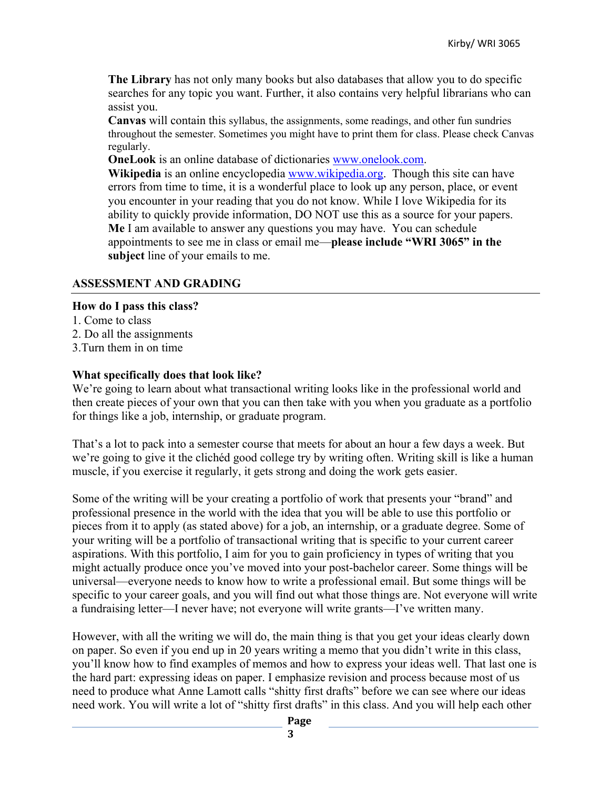**The Library** has not only many books but also databases that allow you to do specific searches for any topic you want. Further, it also contains very helpful librarians who can assist you.

**Canvas** will contain this syllabus, the assignments, some readings, and other fun sundries throughout the semester. Sometimes you might have to print them for class. Please check Canvas regularly.

**OneLook** is an online database of dictionaries www.onelook.com.

**Wikipedia** is an online encyclopedia www.wikipedia.org. Though this site can have errors from time to time, it is a wonderful place to look up any person, place, or event you encounter in your reading that you do not know. While I love Wikipedia for its ability to quickly provide information, DO NOT use this as a source for your papers. **Me** I am available to answer any questions you may have. You can schedule appointments to see me in class or email me—**please include "WRI 3065" in the subject** line of your emails to me.

#### **ASSESSMENT AND GRADING**

#### **How do I pass this class?**

- 1. Come to class
- 2. Do all the assignments
- 3.Turn them in on time

#### **What specifically does that look like?**

We're going to learn about what transactional writing looks like in the professional world and then create pieces of your own that you can then take with you when you graduate as a portfolio for things like a job, internship, or graduate program.

That's a lot to pack into a semester course that meets for about an hour a few days a week. But we're going to give it the clichéd good college try by writing often. Writing skill is like a human muscle, if you exercise it regularly, it gets strong and doing the work gets easier.

Some of the writing will be your creating a portfolio of work that presents your "brand" and professional presence in the world with the idea that you will be able to use this portfolio or pieces from it to apply (as stated above) for a job, an internship, or a graduate degree. Some of your writing will be a portfolio of transactional writing that is specific to your current career aspirations. With this portfolio, I aim for you to gain proficiency in types of writing that you might actually produce once you've moved into your post-bachelor career. Some things will be universal—everyone needs to know how to write a professional email. But some things will be specific to your career goals, and you will find out what those things are. Not everyone will write a fundraising letter—I never have; not everyone will write grants—I've written many.

However, with all the writing we will do, the main thing is that you get your ideas clearly down on paper. So even if you end up in 20 years writing a memo that you didn't write in this class, you'll know how to find examples of memos and how to express your ideas well. That last one is the hard part: expressing ideas on paper. I emphasize revision and process because most of us need to produce what Anne Lamott calls "shitty first drafts" before we can see where our ideas need work. You will write a lot of "shitty first drafts" in this class. And you will help each other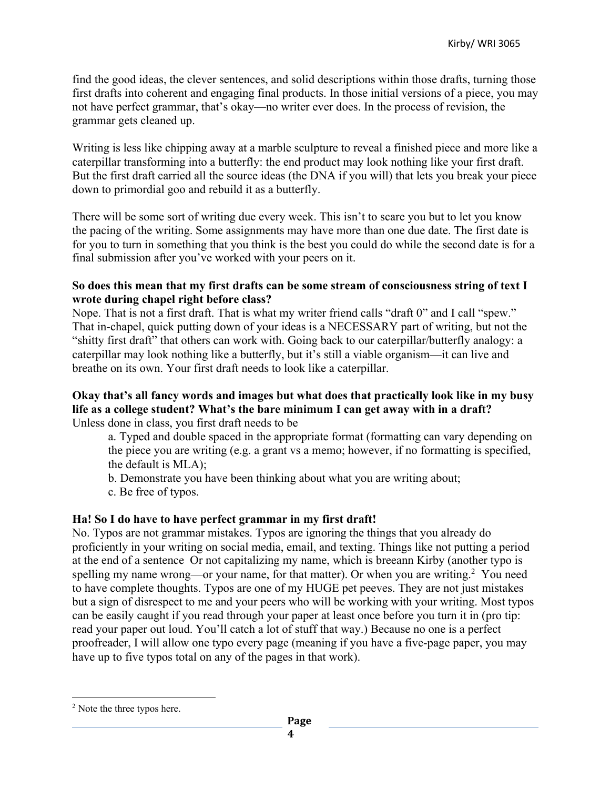find the good ideas, the clever sentences, and solid descriptions within those drafts, turning those first drafts into coherent and engaging final products. In those initial versions of a piece, you may not have perfect grammar, that's okay—no writer ever does. In the process of revision, the grammar gets cleaned up.

Writing is less like chipping away at a marble sculpture to reveal a finished piece and more like a caterpillar transforming into a butterfly: the end product may look nothing like your first draft. But the first draft carried all the source ideas (the DNA if you will) that lets you break your piece down to primordial goo and rebuild it as a butterfly.

There will be some sort of writing due every week. This isn't to scare you but to let you know the pacing of the writing. Some assignments may have more than one due date. The first date is for you to turn in something that you think is the best you could do while the second date is for a final submission after you've worked with your peers on it.

#### **So does this mean that my first drafts can be some stream of consciousness string of text I wrote during chapel right before class?**

Nope. That is not a first draft. That is what my writer friend calls "draft 0" and I call "spew." That in-chapel, quick putting down of your ideas is a NECESSARY part of writing, but not the "shitty first draft" that others can work with. Going back to our caterpillar/butterfly analogy: a caterpillar may look nothing like a butterfly, but it's still a viable organism—it can live and breathe on its own. Your first draft needs to look like a caterpillar.

#### **Okay that's all fancy words and images but what does that practically look like in my busy life as a college student? What's the bare minimum I can get away with in a draft?** Unless done in class, you first draft needs to be

a. Typed and double spaced in the appropriate format (formatting can vary depending on the piece you are writing (e.g. a grant vs a memo; however, if no formatting is specified, the default is MLA);

b. Demonstrate you have been thinking about what you are writing about;

c. Be free of typos.

#### **Ha! So I do have to have perfect grammar in my first draft!**

No. Typos are not grammar mistakes. Typos are ignoring the things that you already do proficiently in your writing on social media, email, and texting. Things like not putting a period at the end of a sentence Or not capitalizing my name, which is breeann Kirby (another typo is spelling my name wrong—or your name, for that matter). Or when you are writing.<sup>2</sup> You need to have complete thoughts. Typos are one of my HUGE pet peeves. They are not just mistakes but a sign of disrespect to me and your peers who will be working with your writing. Most typos can be easily caught if you read through your paper at least once before you turn it in (pro tip: read your paper out loud. You'll catch a lot of stuff that way.) Because no one is a perfect proofreader, I will allow one typo every page (meaning if you have a five-page paper, you may have up to five typos total on any of the pages in that work).

<sup>&</sup>lt;sup>2</sup> Note the three typos here.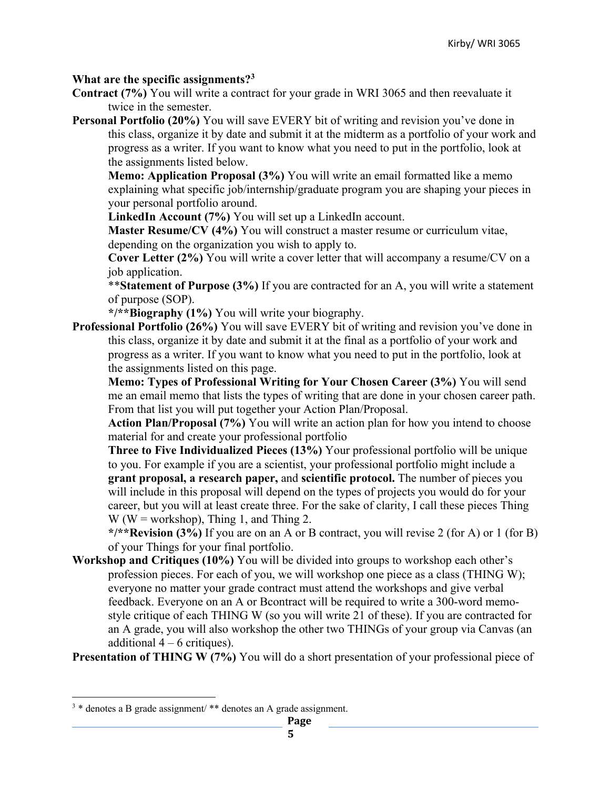#### **What are the specific assignments?3**

- **Contract (7%)** You will write a contract for your grade in WRI 3065 and then reevaluate it twice in the semester.
- **Personal Portfolio (20%)** You will save EVERY bit of writing and revision you've done in this class, organize it by date and submit it at the midterm as a portfolio of your work and progress as a writer. If you want to know what you need to put in the portfolio, look at the assignments listed below.

**Memo: Application Proposal (3%)** You will write an email formatted like a memo explaining what specific job/internship/graduate program you are shaping your pieces in your personal portfolio around.

**LinkedIn Account (7%)** You will set up a LinkedIn account.

**Master Resume/CV (4%)** You will construct a master resume or curriculum vitae, depending on the organization you wish to apply to.

**Cover Letter (2%)** You will write a cover letter that will accompany a resume/CV on a job application.

\*\***Statement of Purpose (3%)** If you are contracted for an A, you will write a statement of purpose (SOP).

**\*/\*\*Biography (1%)** You will write your biography.

**Professional Portfolio (26%)** You will save EVERY bit of writing and revision you've done in this class, organize it by date and submit it at the final as a portfolio of your work and progress as a writer. If you want to know what you need to put in the portfolio, look at the assignments listed on this page.

**Memo: Types of Professional Writing for Your Chosen Career (3%)** You will send me an email memo that lists the types of writing that are done in your chosen career path. From that list you will put together your Action Plan/Proposal.

**Action Plan/Proposal (7%)** You will write an action plan for how you intend to choose material for and create your professional portfolio

**Three to Five Individualized Pieces (13%)** Your professional portfolio will be unique to you. For example if you are a scientist, your professional portfolio might include a **grant proposal, a research paper,** and **scientific protocol.** The number of pieces you will include in this proposal will depend on the types of projects you would do for your career, but you will at least create three. For the sake of clarity, I call these pieces Thing  $W$  (W = workshop), Thing 1, and Thing 2.

**\*/\*\*Revision (3%)** If you are on an A or B contract, you will revise 2 (for A) or 1 (for B) of your Things for your final portfolio.

**Workshop and Critiques (10%)** You will be divided into groups to workshop each other's profession pieces. For each of you, we will workshop one piece as a class (THING W); everyone no matter your grade contract must attend the workshops and give verbal feedback. Everyone on an A or Bcontract will be required to write a 300-word memostyle critique of each THING W (so you will write 21 of these). If you are contracted for an A grade, you will also workshop the other two THINGs of your group via Canvas (an additional  $4 - 6$  critiques).

**Presentation of THING W (7%)** You will do a short presentation of your professional piece of

<sup>3</sup> \* denotes a B grade assignment/ \*\* denotes an A grade assignment.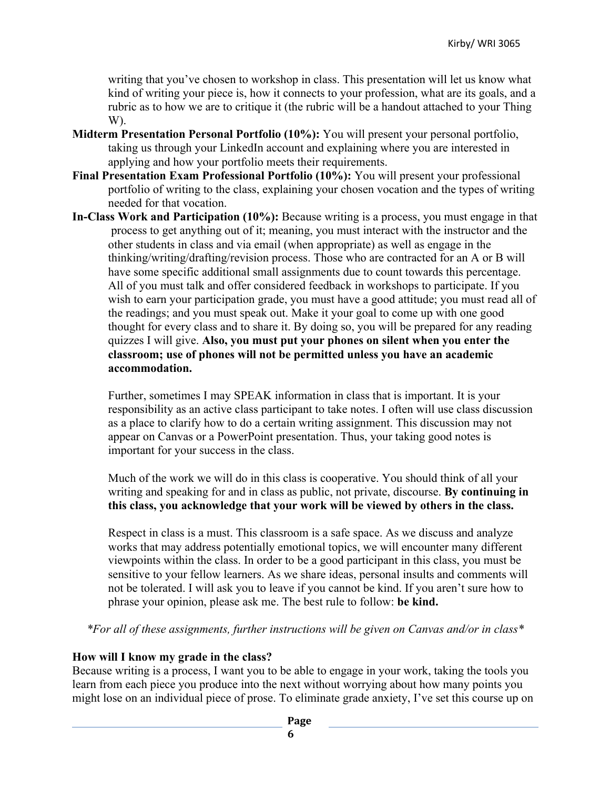writing that you've chosen to workshop in class. This presentation will let us know what kind of writing your piece is, how it connects to your profession, what are its goals, and a rubric as to how we are to critique it (the rubric will be a handout attached to your Thing W).

- **Midterm Presentation Personal Portfolio (10%):** You will present your personal portfolio, taking us through your LinkedIn account and explaining where you are interested in applying and how your portfolio meets their requirements.
- **Final Presentation Exam Professional Portfolio (10%):** You will present your professional portfolio of writing to the class, explaining your chosen vocation and the types of writing needed for that vocation.
- **In-Class Work and Participation (10%):** Because writing is a process, you must engage in that process to get anything out of it; meaning, you must interact with the instructor and the other students in class and via email (when appropriate) as well as engage in the thinking/writing/drafting/revision process. Those who are contracted for an A or B will have some specific additional small assignments due to count towards this percentage. All of you must talk and offer considered feedback in workshops to participate. If you wish to earn your participation grade, you must have a good attitude; you must read all of the readings; and you must speak out. Make it your goal to come up with one good thought for every class and to share it. By doing so, you will be prepared for any reading quizzes I will give. **Also, you must put your phones on silent when you enter the classroom; use of phones will not be permitted unless you have an academic accommodation.**

Further, sometimes I may SPEAK information in class that is important. It is your responsibility as an active class participant to take notes. I often will use class discussion as a place to clarify how to do a certain writing assignment. This discussion may not appear on Canvas or a PowerPoint presentation. Thus, your taking good notes is important for your success in the class.

Much of the work we will do in this class is cooperative. You should think of all your writing and speaking for and in class as public, not private, discourse. **By continuing in this class, you acknowledge that your work will be viewed by others in the class.**

Respect in class is a must. This classroom is a safe space. As we discuss and analyze works that may address potentially emotional topics, we will encounter many different viewpoints within the class. In order to be a good participant in this class, you must be sensitive to your fellow learners. As we share ideas, personal insults and comments will not be tolerated. I will ask you to leave if you cannot be kind. If you aren't sure how to phrase your opinion, please ask me. The best rule to follow: **be kind.**

*\*For all of these assignments, further instructions will be given on Canvas and/or in class\**

#### **How will I know my grade in the class?**

Because writing is a process, I want you to be able to engage in your work, taking the tools you learn from each piece you produce into the next without worrying about how many points you might lose on an individual piece of prose. To eliminate grade anxiety, I've set this course up on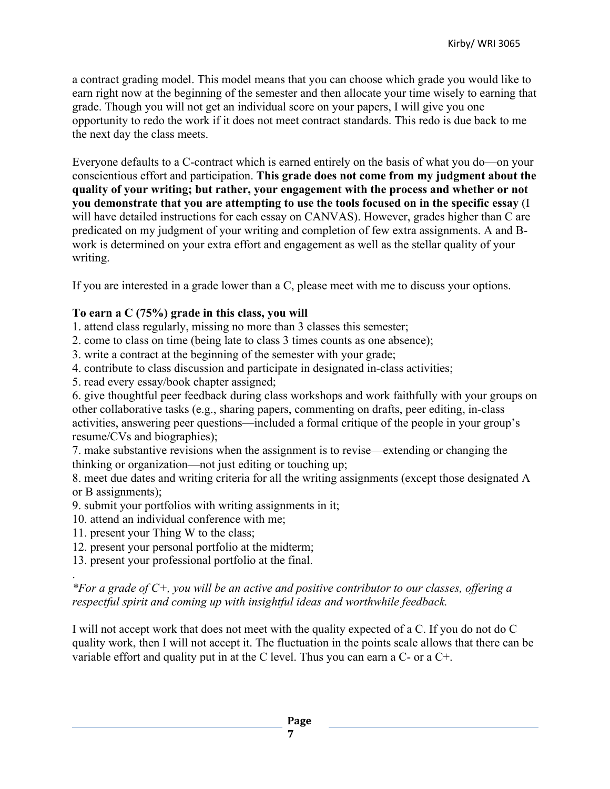a contract grading model. This model means that you can choose which grade you would like to earn right now at the beginning of the semester and then allocate your time wisely to earning that grade. Though you will not get an individual score on your papers, I will give you one opportunity to redo the work if it does not meet contract standards. This redo is due back to me the next day the class meets.

Everyone defaults to a C-contract which is earned entirely on the basis of what you do—on your conscientious effort and participation. **This grade does not come from my judgment about the quality of your writing; but rather, your engagement with the process and whether or not you demonstrate that you are attempting to use the tools focused on in the specific essay** (I will have detailed instructions for each essay on CANVAS). However, grades higher than C are predicated on my judgment of your writing and completion of few extra assignments. A and Bwork is determined on your extra effort and engagement as well as the stellar quality of your writing.

If you are interested in a grade lower than a C, please meet with me to discuss your options.

## **To earn a C (75%) grade in this class, you will**

- 1. attend class regularly, missing no more than 3 classes this semester;
- 2. come to class on time (being late to class 3 times counts as one absence);
- 3. write a contract at the beginning of the semester with your grade;
- 4. contribute to class discussion and participate in designated in-class activities;
- 5. read every essay/book chapter assigned;

6. give thoughtful peer feedback during class workshops and work faithfully with your groups on other collaborative tasks (e.g., sharing papers, commenting on drafts, peer editing, in-class activities, answering peer questions—included a formal critique of the people in your group's resume/CVs and biographies);

7. make substantive revisions when the assignment is to revise—extending or changing the thinking or organization—not just editing or touching up;

8. meet due dates and writing criteria for all the writing assignments (except those designated A or B assignments);

- 9. submit your portfolios with writing assignments in it;
- 10. attend an individual conference with me;
- 11. present your Thing W to the class;

.

- 12. present your personal portfolio at the midterm;
- 13. present your professional portfolio at the final.

*\*For a grade of C+, you will be an active and positive contributor to our classes, offering a respectful spirit and coming up with insightful ideas and worthwhile feedback.*

I will not accept work that does not meet with the quality expected of a C. If you do not do C quality work, then I will not accept it. The fluctuation in the points scale allows that there can be variable effort and quality put in at the C level. Thus you can earn a C- or a C+.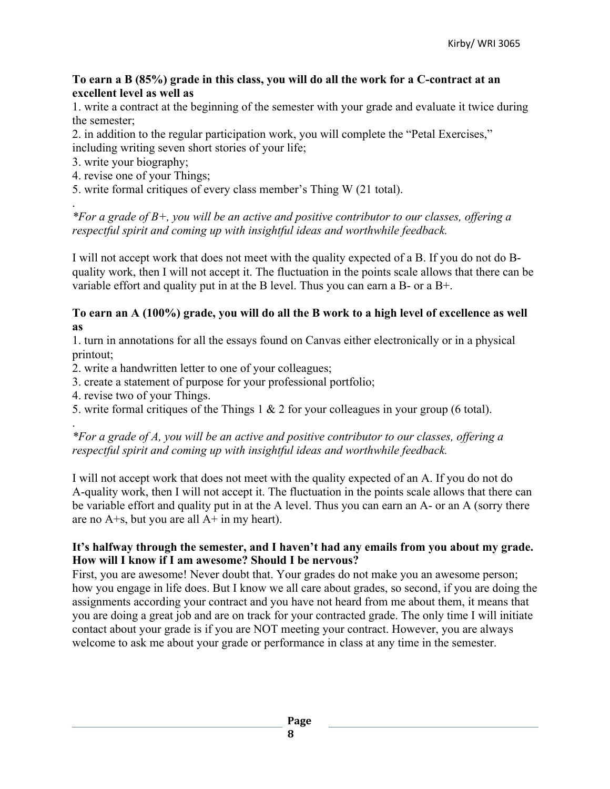#### **To earn a B (85%) grade in this class, you will do all the work for a C-contract at an excellent level as well as**

1. write a contract at the beginning of the semester with your grade and evaluate it twice during the semester;

2. in addition to the regular participation work, you will complete the "Petal Exercises," including writing seven short stories of your life;

- 3. write your biography;
- 4. revise one of your Things;
- 5. write formal critiques of every class member's Thing W (21 total).

. *\*For a grade of B+, you will be an active and positive contributor to our classes, offering a respectful spirit and coming up with insightful ideas and worthwhile feedback.*

I will not accept work that does not meet with the quality expected of a B. If you do not do Bquality work, then I will not accept it. The fluctuation in the points scale allows that there can be variable effort and quality put in at the B level. Thus you can earn a B- or a B+.

#### **To earn an A (100%) grade, you will do all the B work to a high level of excellence as well as**

1. turn in annotations for all the essays found on Canvas either electronically or in a physical printout;

2. write a handwritten letter to one of your colleagues;

- 3. create a statement of purpose for your professional portfolio;
- 4. revise two of your Things.
- 5. write formal critiques of the Things 1 & 2 for your colleagues in your group (6 total).

. *\*For a grade of A, you will be an active and positive contributor to our classes, offering a respectful spirit and coming up with insightful ideas and worthwhile feedback.*

I will not accept work that does not meet with the quality expected of an A. If you do not do A-quality work, then I will not accept it. The fluctuation in the points scale allows that there can be variable effort and quality put in at the A level. Thus you can earn an A- or an A (sorry there are no  $A + s$ , but you are all  $A + in$  my heart).

#### **It's halfway through the semester, and I haven't had any emails from you about my grade. How will I know if I am awesome? Should I be nervous?**

First, you are awesome! Never doubt that. Your grades do not make you an awesome person; how you engage in life does. But I know we all care about grades, so second, if you are doing the assignments according your contract and you have not heard from me about them, it means that you are doing a great job and are on track for your contracted grade. The only time I will initiate contact about your grade is if you are NOT meeting your contract. However, you are always welcome to ask me about your grade or performance in class at any time in the semester.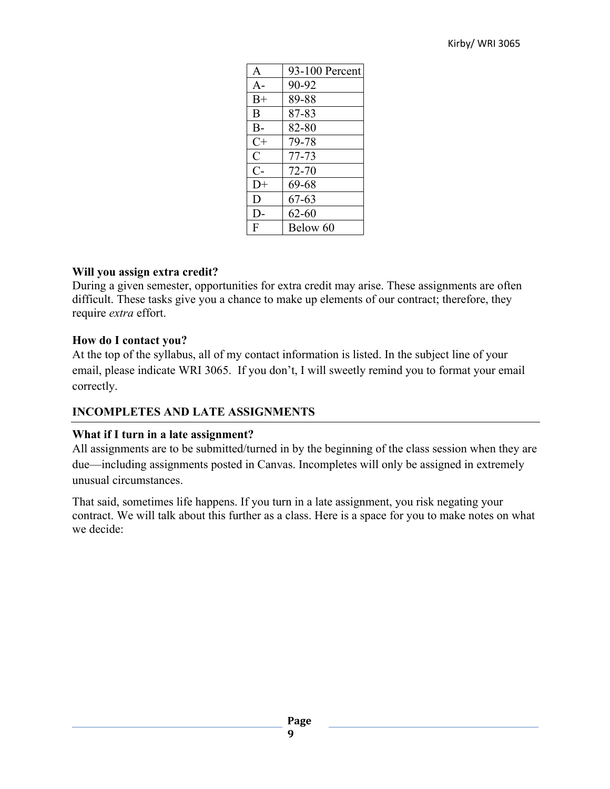| $\mathsf{A}$ | 93-100 Percent |
|--------------|----------------|
| $A -$        | 90-92          |
| $B+$         | 89-88          |
| B            | 87-83          |
| $B-$         | 82-80          |
| $C+$         | 79-78          |
| $\mathbf C$  | 77-73          |
| $C-$         | 72-70          |
| $D+$         | 69-68          |
| D            | $67 - 63$      |
| D-           | 62-60          |
| F            | Below 60       |

#### **Will you assign extra credit?**

During a given semester, opportunities for extra credit may arise. These assignments are often difficult. These tasks give you a chance to make up elements of our contract; therefore, they require *extra* effort.

#### **How do I contact you?**

At the top of the syllabus, all of my contact information is listed. In the subject line of your email, please indicate WRI 3065. If you don't, I will sweetly remind you to format your email correctly.

## **INCOMPLETES AND LATE ASSIGNMENTS**

## **What if I turn in a late assignment?**

All assignments are to be submitted/turned in by the beginning of the class session when they are due—including assignments posted in Canvas. Incompletes will only be assigned in extremely unusual circumstances.

That said, sometimes life happens. If you turn in a late assignment, you risk negating your contract. We will talk about this further as a class. Here is a space for you to make notes on what we decide: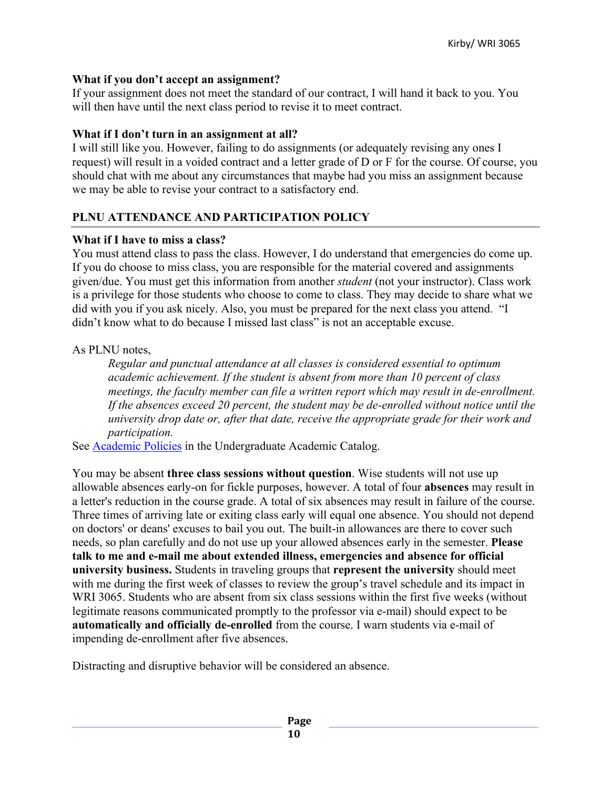#### **What if you don't accept an assignment?**

If your assignment does not meet the standard of our contract, I will hand it back to you. You will then have until the next class period to revise it to meet contract.

#### **What if I don't turn in an assignment at all?**

I will still like you. However, failing to do assignments (or adequately revising any ones I request) will result in a voided contract and a letter grade of D or F for the course. Of course, you should chat with me about any circumstances that maybe had you miss an assignment because we may be able to revise your contract to a satisfactory end.

## **PLNU ATTENDANCE AND PARTICIPATION POLICY**

#### **What if I have to miss a class?**

You must attend class to pass the class. However, I do understand that emergencies do come up. If you do choose to miss class, you are responsible for the material covered and assignments given/due. You must get this information from another *student* (not your instructor). Class work is a privilege for those students who choose to come to class. They may decide to share what we did with you if you ask nicely. Also, you must be prepared for the next class you attend. "I didn't know what to do because I missed last class" is not an acceptable excuse.

## As PLNU notes,

*Regular and punctual attendance at all classes is considered essential to optimum academic achievement. If the student is absent from more than 10 percent of class meetings, the faculty member can file a written report which may result in de-enrollment. If the absences exceed 20 percent, the student may be de-enrolled without notice until the university drop date or, after that date, receive the appropriate grade for their work and participation.* 

See Academic Policies in the Undergraduate Academic Catalog.

You may be absent **three class sessions without question**. Wise students will not use up allowable absences early-on for fickle purposes, however. A total of four **absences** may result in a letter's reduction in the course grade. A total of six absences may result in failure of the course. Three times of arriving late or exiting class early will equal one absence. You should not depend on doctors' or deans' excuses to bail you out. The built-in allowances are there to cover such needs, so plan carefully and do not use up your allowed absences early in the semester. **Please talk to me and e-mail me about extended illness, emergencies and absence for official university business.** Students in traveling groups that **represent the university** should meet with me during the first week of classes to review the group's travel schedule and its impact in WRI 3065. Students who are absent from six class sessions within the first five weeks (without legitimate reasons communicated promptly to the professor via e-mail) should expect to be **automatically and officially de-enrolled** from the course. I warn students via e-mail of impending de-enrollment after five absences.

Distracting and disruptive behavior will be considered an absence.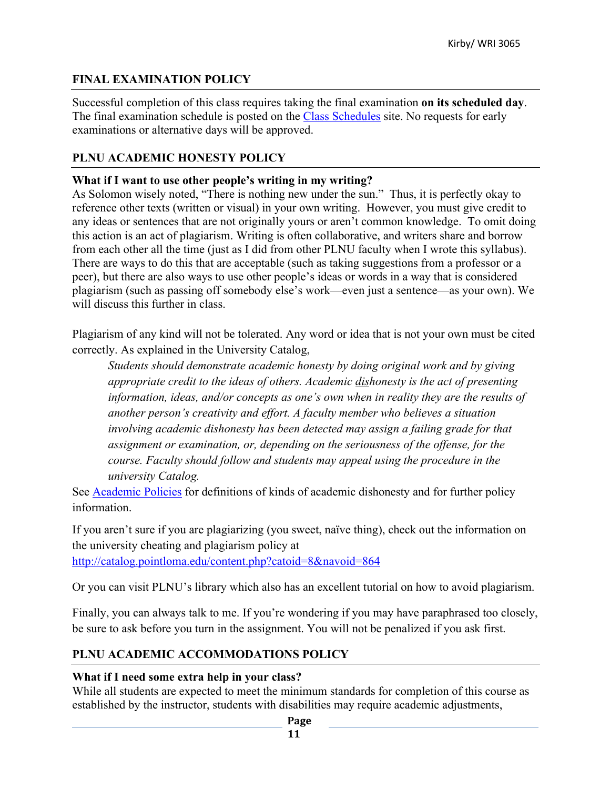## **FINAL EXAMINATION POLICY**

Successful completion of this class requires taking the final examination **on its scheduled day**. The final examination schedule is posted on the Class Schedules site. No requests for early examinations or alternative days will be approved.

## **PLNU ACADEMIC HONESTY POLICY**

#### **What if I want to use other people's writing in my writing?**

As Solomon wisely noted, "There is nothing new under the sun." Thus, it is perfectly okay to reference other texts (written or visual) in your own writing. However, you must give credit to any ideas or sentences that are not originally yours or aren't common knowledge. To omit doing this action is an act of plagiarism. Writing is often collaborative, and writers share and borrow from each other all the time (just as I did from other PLNU faculty when I wrote this syllabus). There are ways to do this that are acceptable (such as taking suggestions from a professor or a peer), but there are also ways to use other people's ideas or words in a way that is considered plagiarism (such as passing off somebody else's work—even just a sentence—as your own). We will discuss this further in class.

Plagiarism of any kind will not be tolerated. Any word or idea that is not your own must be cited correctly. As explained in the University Catalog,

*Students should demonstrate academic honesty by doing original work and by giving appropriate credit to the ideas of others. Academic dishonesty is the act of presenting information, ideas, and/or concepts as one's own when in reality they are the results of another person's creativity and effort. A faculty member who believes a situation involving academic dishonesty has been detected may assign a failing grade for that assignment or examination, or, depending on the seriousness of the offense, for the course. Faculty should follow and students may appeal using the procedure in the university Catalog.*

See **Academic Policies** for definitions of kinds of academic dishonesty and for further policy information.

If you aren't sure if you are plagiarizing (you sweet, naïve thing), check out the information on the university cheating and plagiarism policy at

http://catalog.pointloma.edu/content.php?catoid=8&navoid=864

Or you can visit PLNU's library which also has an excellent tutorial on how to avoid plagiarism.

Finally, you can always talk to me. If you're wondering if you may have paraphrased too closely, be sure to ask before you turn in the assignment. You will not be penalized if you ask first.

## **PLNU ACADEMIC ACCOMMODATIONS POLICY**

#### **What if I need some extra help in your class?**

While all students are expected to meet the minimum standards for completion of this course as established by the instructor, students with disabilities may require academic adjustments,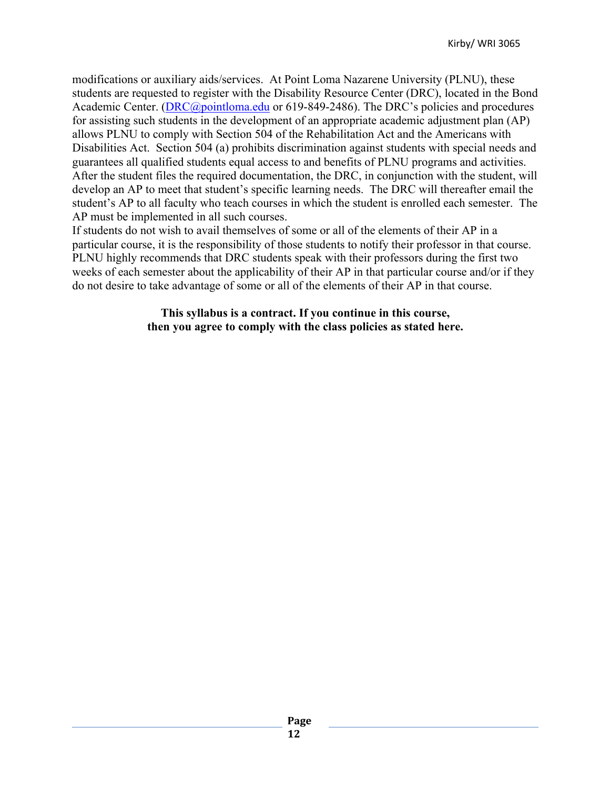modifications or auxiliary aids/services. At Point Loma Nazarene University (PLNU), these students are requested to register with the Disability Resource Center (DRC), located in the Bond Academic Center. (DRC@pointloma.edu or 619-849-2486). The DRC's policies and procedures for assisting such students in the development of an appropriate academic adjustment plan (AP) allows PLNU to comply with Section 504 of the Rehabilitation Act and the Americans with Disabilities Act. Section 504 (a) prohibits discrimination against students with special needs and guarantees all qualified students equal access to and benefits of PLNU programs and activities. After the student files the required documentation, the DRC, in conjunction with the student, will develop an AP to meet that student's specific learning needs. The DRC will thereafter email the student's AP to all faculty who teach courses in which the student is enrolled each semester. The AP must be implemented in all such courses.

If students do not wish to avail themselves of some or all of the elements of their AP in a particular course, it is the responsibility of those students to notify their professor in that course. PLNU highly recommends that DRC students speak with their professors during the first two weeks of each semester about the applicability of their AP in that particular course and/or if they do not desire to take advantage of some or all of the elements of their AP in that course.

> **This syllabus is a contract. If you continue in this course, then you agree to comply with the class policies as stated here.**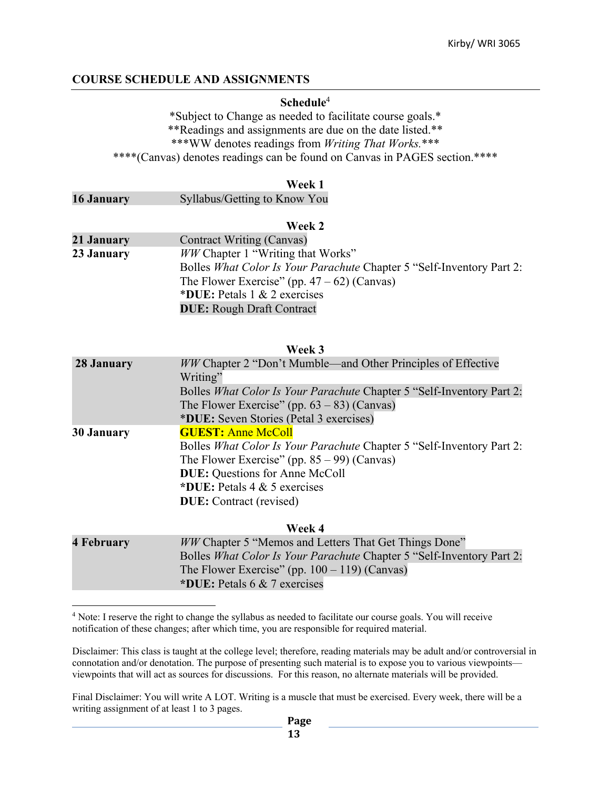#### **COURSE SCHEDULE AND ASSIGNMENTS**

#### **Schedule**<sup>4</sup>

\*Subject to Change as needed to facilitate course goals.\* \*\*Readings and assignments are due on the date listed.\*\* \*\*\*WW denotes readings from *Writing That Works.*\*\*\* \*\*\*\*(Canvas) denotes readings can be found on Canvas in PAGES section.\*\*\*\*

#### **Week 1**

| <b>16 January</b> | Syllabus/Getting to Know You |  |
|-------------------|------------------------------|--|
|                   |                              |  |

#### **Week 2**

| 21 January | <b>Contract Writing (Canvas)</b>                                      |
|------------|-----------------------------------------------------------------------|
| 23 January | <i>WW</i> Chapter 1 "Writing that Works"                              |
|            | Bolles What Color Is Your Parachute Chapter 5 "Self-Inventory Part 2: |
|            | The Flower Exercise" (pp. $47 - 62$ ) (Canvas)                        |
|            | *DUE: Petals $1 \& 2$ exercises                                       |
|            | <b>DUE:</b> Rough Draft Contract                                      |

#### **Week 3**

| 28 January        | WW Chapter 2 "Don't Mumble—and Other Principles of Effective<br>Writing"                  |
|-------------------|-------------------------------------------------------------------------------------------|
|                   | Bolles What Color Is Your Parachute Chapter 5 "Self-Inventory Part 2:                     |
|                   | The Flower Exercise" (pp. $63 - 83$ ) (Canvas)<br>*DUE: Seven Stories (Petal 3 exercises) |
| <b>30 January</b> | <b>GUEST: Anne McColl</b>                                                                 |
|                   | Bolles What Color Is Your Parachute Chapter 5 "Self-Inventory Part 2:                     |
|                   | The Flower Exercise" (pp. $85 - 99$ ) (Canvas)                                            |
|                   | <b>DUE:</b> Questions for Anne McColl                                                     |
|                   | *DUE: Petals $4 & 5$ exercises                                                            |
|                   | <b>DUE:</b> Contract (revised)                                                            |
|                   |                                                                                           |

**Week 4**

| 4 February | <i>WW</i> Chapter 5 "Memos and Letters That Get Things Done"          |
|------------|-----------------------------------------------------------------------|
|            | Bolles What Color Is Your Parachute Chapter 5 "Self-Inventory Part 2: |
|            | The Flower Exercise" (pp. $100 - 119$ ) (Canvas)                      |
|            | *DUE: Petals 6 & 7 exercises                                          |

<sup>4</sup> Note: I reserve the right to change the syllabus as needed to facilitate our course goals. You will receive notification of these changes; after which time, you are responsible for required material.

Disclaimer: This class is taught at the college level; therefore, reading materials may be adult and/or controversial in connotation and/or denotation. The purpose of presenting such material is to expose you to various viewpoints viewpoints that will act as sources for discussions. For this reason, no alternate materials will be provided.

Final Disclaimer: You will write A LOT. Writing is a muscle that must be exercised. Every week, there will be a writing assignment of at least 1 to 3 pages.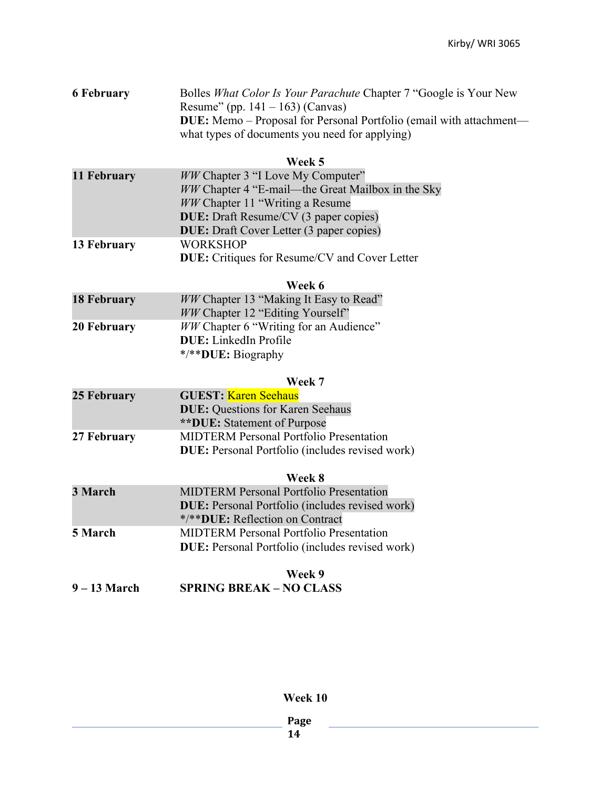| <b>6 February</b> | Bolles <i>What Color Is Your Parachute</i> Chapter 7 "Google is Your New   |
|-------------------|----------------------------------------------------------------------------|
|                   | Resume" (pp. 141 – 163) (Canvas)                                           |
|                   | <b>DUE:</b> Memo – Proposal for Personal Portfolio (email with attachment— |
|                   | what types of documents you need for applying)                             |
|                   |                                                                            |

#### **Week 5**

| 11 February | <i>WW</i> Chapter 3 "I Love My Computer"             |
|-------------|------------------------------------------------------|
|             | WW Chapter 4 "E-mail—the Great Mailbox in the Sky    |
|             | <i>WW</i> Chapter 11 "Writing a Resume"              |
|             | <b>DUE:</b> Draft Resume/CV (3 paper copies)         |
|             | <b>DUE:</b> Draft Cover Letter (3 paper copies)      |
| 13 February | <b>WORKSHOP</b>                                      |
|             | <b>DUE:</b> Critiques for Resume/CV and Cover Letter |

#### **Week 6**

| <b>18 February</b> | <i>WW</i> Chapter 13 "Making It Easy to Read" |
|--------------------|-----------------------------------------------|
|                    | WW Chapter 12 "Editing Yourself"              |
| 20 February        | <i>WW</i> Chapter 6 "Writing for an Audience" |
|                    | <b>DUE:</b> LinkedIn Profile                  |
|                    | */**DUE: Biography                            |

#### **Week 7**

| 25 February | <b>GUEST: Karen Seehaus</b>                            |
|-------------|--------------------------------------------------------|
|             | <b>DUE:</b> Questions for Karen Seehaus                |
|             | <b>**DUE:</b> Statement of Purpose                     |
| 27 February | <b>MIDTERM Personal Portfolio Presentation</b>         |
|             | <b>DUE:</b> Personal Portfolio (includes revised work) |

#### **Week 8**

| 3 March | <b>MIDTERM Personal Portfolio Presentation</b>         |
|---------|--------------------------------------------------------|
|         | <b>DUE:</b> Personal Portfolio (includes revised work) |
|         | */**DUE: Reflection on Contract                        |
| 5 March | <b>MIDTERM Personal Portfolio Presentation</b>         |
|         | <b>DUE:</b> Personal Portfolio (includes revised work) |
|         |                                                        |

## **Week 9 9 – 13 March SPRING BREAK – NO CLASS**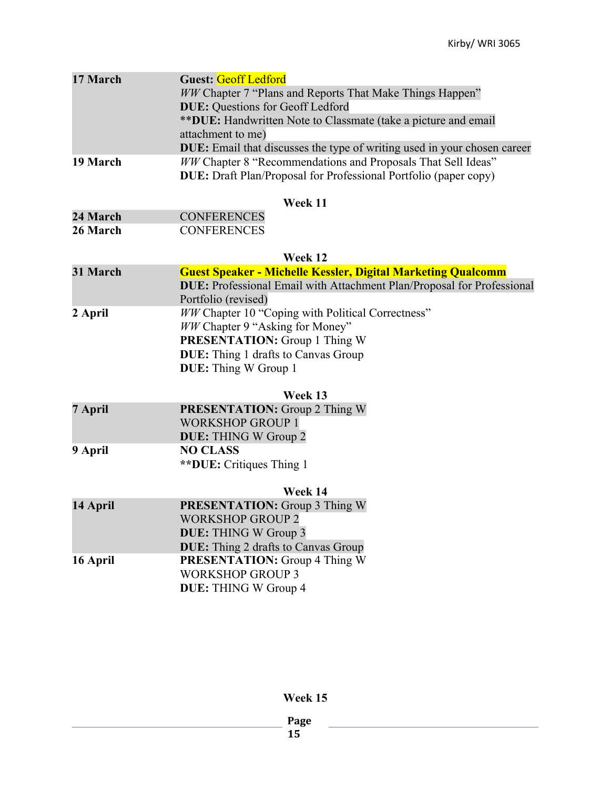| 17 March | <b>Guest: Geoff Ledford</b><br><b>WW Chapter 7 "Plans and Reports That Make Things Happen"</b><br><b>DUE: Questions for Geoff Ledford</b><br>**DUE: Handwritten Note to Classmate (take a picture and email<br>attachment to me)<br><b>DUE:</b> Email that discusses the type of writing used in your chosen career |
|----------|---------------------------------------------------------------------------------------------------------------------------------------------------------------------------------------------------------------------------------------------------------------------------------------------------------------------|
| 19 March | WW Chapter 8 "Recommendations and Proposals That Sell Ideas"<br><b>DUE:</b> Draft Plan/Proposal for Professional Portfolio (paper copy)<br>Week 11                                                                                                                                                                  |
| 24 March | <b>CONFERENCES</b>                                                                                                                                                                                                                                                                                                  |
| 26 March | <b>CONFERENCES</b>                                                                                                                                                                                                                                                                                                  |
|          |                                                                                                                                                                                                                                                                                                                     |
|          | Week 12                                                                                                                                                                                                                                                                                                             |
| 31 March | <b>Guest Speaker - Michelle Kessler, Digital Marketing Qualcomm</b>                                                                                                                                                                                                                                                 |
|          | <b>DUE:</b> Professional Email with Attachment Plan/Proposal for Professional<br>Portfolio (revised)                                                                                                                                                                                                                |
| 2 April  | WW Chapter 10 "Coping with Political Correctness"                                                                                                                                                                                                                                                                   |
|          | WW Chapter 9 "Asking for Money"                                                                                                                                                                                                                                                                                     |
|          | <b>PRESENTATION:</b> Group 1 Thing W                                                                                                                                                                                                                                                                                |
|          | <b>DUE:</b> Thing 1 drafts to Canvas Group                                                                                                                                                                                                                                                                          |
|          | <b>DUE:</b> Thing W Group 1                                                                                                                                                                                                                                                                                         |
|          | Week 13                                                                                                                                                                                                                                                                                                             |
| 7 April  | <b>PRESENTATION:</b> Group 2 Thing W                                                                                                                                                                                                                                                                                |
|          | <b>WORKSHOP GROUP 1</b>                                                                                                                                                                                                                                                                                             |
|          | <b>DUE:</b> THING W Group 2                                                                                                                                                                                                                                                                                         |
| 9 April  | <b>NO CLASS</b>                                                                                                                                                                                                                                                                                                     |
|          | <b>**DUE:</b> Critiques Thing 1                                                                                                                                                                                                                                                                                     |
|          | Week 14                                                                                                                                                                                                                                                                                                             |
| 14 April | <b>PRESENTATION:</b> Group 3 Thing W                                                                                                                                                                                                                                                                                |
|          | <b>WORKSHOP GROUP 2</b>                                                                                                                                                                                                                                                                                             |
|          | <b>DUE:</b> THING W Group 3                                                                                                                                                                                                                                                                                         |
|          | <b>DUE:</b> Thing 2 drafts to Canvas Group                                                                                                                                                                                                                                                                          |
| 16 April | <b>PRESENTATION:</b> Group 4 Thing W                                                                                                                                                                                                                                                                                |
|          | <b>WORKSHOP GROUP 3</b>                                                                                                                                                                                                                                                                                             |
|          | <b>DUE:</b> THING W Group 4                                                                                                                                                                                                                                                                                         |
|          |                                                                                                                                                                                                                                                                                                                     |